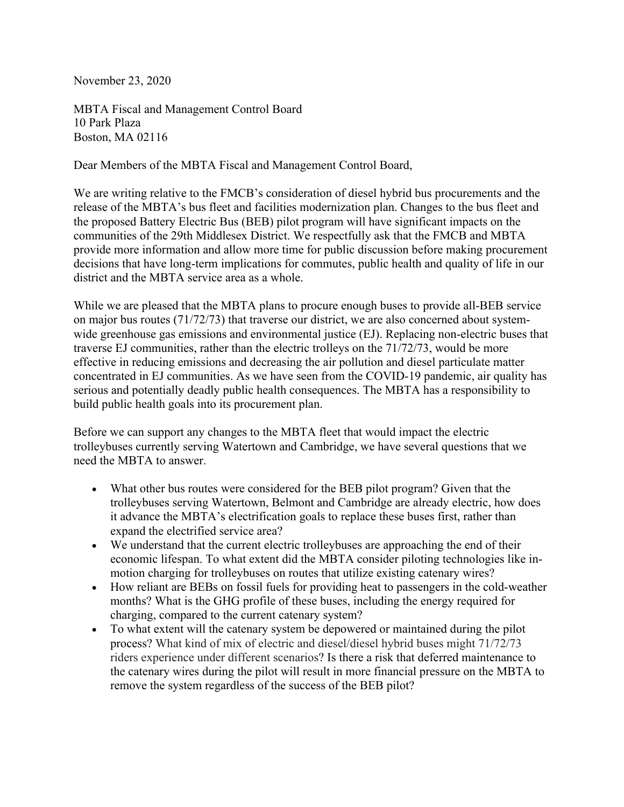November 23, 2020

MBTA Fiscal and Management Control Board 10 Park Plaza Boston, MA 02116

Dear Members of the MBTA Fiscal and Management Control Board,

We are writing relative to the FMCB's consideration of diesel hybrid bus procurements and the release of the MBTA's bus fleet and facilities modernization plan. Changes to the bus fleet and the proposed Battery Electric Bus (BEB) pilot program will have significant impacts on the communities of the 29th Middlesex District. We respectfully ask that the FMCB and MBTA provide more information and allow more time for public discussion before making procurement decisions that have long-term implications for commutes, public health and quality of life in our district and the MBTA service area as a whole.

While we are pleased that the MBTA plans to procure enough buses to provide all-BEB service on major bus routes (71/72/73) that traverse our district, we are also concerned about systemwide greenhouse gas emissions and environmental justice (EJ). Replacing non-electric buses that traverse EJ communities, rather than the electric trolleys on the 71/72/73, would be more effective in reducing emissions and decreasing the air pollution and diesel particulate matter concentrated in EJ communities. As we have seen from the COVID-19 pandemic, air quality has serious and potentially deadly public health consequences. The MBTA has a responsibility to build public health goals into its procurement plan.

Before we can support any changes to the MBTA fleet that would impact the electric trolleybuses currently serving Watertown and Cambridge, we have several questions that we need the MBTA to answer.

- What other bus routes were considered for the BEB pilot program? Given that the trolleybuses serving Watertown, Belmont and Cambridge are already electric, how does it advance the MBTA's electrification goals to replace these buses first, rather than expand the electrified service area?
- We understand that the current electric trolleybuses are approaching the end of their economic lifespan. To what extent did the MBTA consider piloting technologies like inmotion charging for trolleybuses on routes that utilize existing catenary wires?
- How reliant are BEBs on fossil fuels for providing heat to passengers in the cold-weather months? What is the GHG profile of these buses, including the energy required for charging, compared to the current catenary system?
- To what extent will the catenary system be depowered or maintained during the pilot process? What kind of mix of electric and diesel/diesel hybrid buses might 71/72/73 riders experience under different scenarios? Is there a risk that deferred maintenance to the catenary wires during the pilot will result in more financial pressure on the MBTA to remove the system regardless of the success of the BEB pilot?